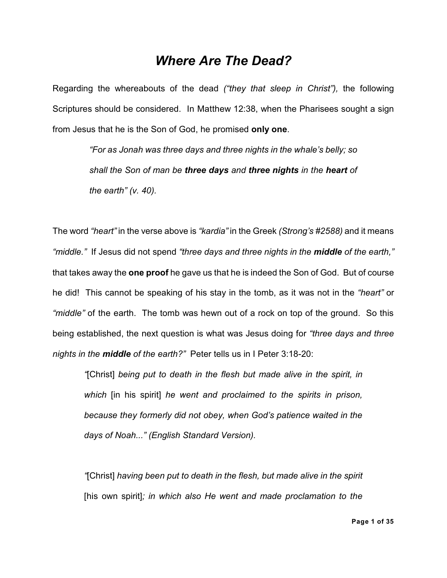# *Where Are The Dead?*

Regarding the whereabouts of the dead *("they that sleep in Christ"),* the following Scriptures should be considered. In Matthew 12:38, when the Pharisees sought a sign from Jesus that he is the Son of God, he promised **only one**.

> *"For as Jonah was three days and three nights in the whale's belly; so shall the Son of man be three days and three nights in the heart of the earth" (v. 40).*

The word *"heart"* in the verse above is *"kardia"* in the Greek *(Strong's #2588)* and it means *"middle."* If Jesus did not spend *"three days and three nights in the middle of the earth,"* that takes away the **one proof** he gave us that he is indeed the Son of God. But of course he did! This cannot be speaking of his stay in the tomb, as it was not in the *"heart"* or *"middle"* of the earth. The tomb was hewn out of a rock on top of the ground. So this being established, the next question is what was Jesus doing for *"three days and three nights in the middle of the earth?"* Peter tells us in I Peter 3:18-20:

*"*[Christ] *being put to death in the flesh but made alive in the spirit, in which* [in his spirit] *he went and proclaimed to the spirits in prison, because they formerly did not obey, when God's patience waited in the days of Noah..." (English Standard Version).*

*"*[Christ] *having been put to death in the flesh, but made alive in the spirit* [his own spirit]*; in which also He went and made proclamation to the*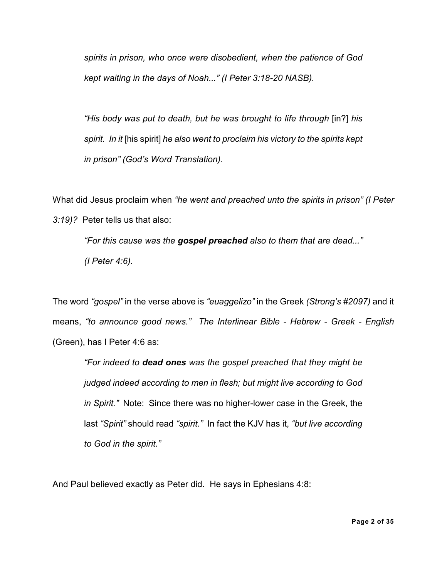*spirits in prison, who once were disobedient, when the patience of God kept waiting in the days of Noah..." (I Peter 3:18-20 NASB).*

*"His body was put to death, but he was brought to life through* [in?] *his spirit. In it* [his spirit] *he also went to proclaim his victory to the spirits kept in prison" (God's Word Translation).*

What did Jesus proclaim when *"he went and preached unto the spirits in prison" (I Peter 3:19)?* Peter tells us that also:

*"For this cause was the gospel preached also to them that are dead..." (I Peter 4:6).*

The word *"gospel"* in the verse above is *"euaggelizo"* in the Greek *(Strong's #2097)* and it means, *"to announce good news." The Interlinear Bible - Hebrew - Greek - English* (Green), has I Peter 4:6 as:

*"For indeed to dead ones was the gospel preached that they might be judged indeed according to men in flesh; but might live according to God in Spirit."* Note: Since there was no higher-lower case in the Greek, the last *"Spirit"* should read *"spirit."* In fact the KJV has it, *"but live according to God in the spirit."*

And Paul believed exactly as Peter did. He says in Ephesians 4:8: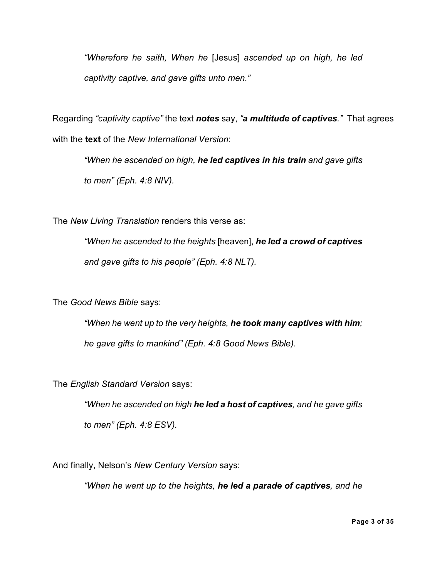*"Wherefore he saith, When he* [Jesus] *ascended up on high, he led captivity captive, and gave gifts unto men."*

Regarding *"captivity captive"* the text *notes* say, *"a multitude of captives."* That agrees with the **text** of the *New International Version*:

*"When he ascended on high, he led captives in his train and gave gifts to men" (Eph. 4:8 NIV).*

The *New Living Translation* renders this verse as:

*"When he ascended to the heights* [heaven], *he led a crowd of captives and gave gifts to his people" (Eph. 4:8 NLT).*

The *Good News Bible* says:

*"When he went up to the very heights, he took many captives with him; he gave gifts to mankind" (Eph. 4:8 Good News Bible).*

The *English Standard Version* says:

*"When he ascended on high he led a host of captives, and he gave gifts to men" (Eph. 4:8 ESV).*

And finally, Nelson's *New Century Version* says:

*"When he went up to the heights, he led a parade of captives, and he*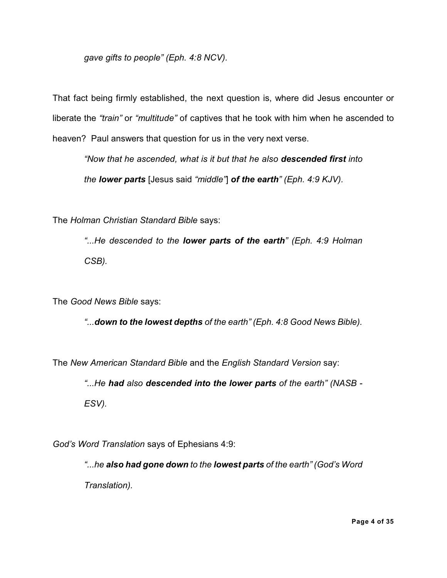*gave gifts to people" (Eph. 4:8 NCV).*

That fact being firmly established, the next question is, where did Jesus encounter or liberate the *"train"* or *"multitude"* of captives that he took with him when he ascended to heaven? Paul answers that question for us in the very next verse.

*"Now that he ascended, what is it but that he also descended first into the lower parts* [Jesus said *"middle"*] *of the earth" (Eph. 4:9 KJV).*

The *Holman Christian Standard Bible* says:

*"...He descended to the lower parts of the earth" (Eph. 4:9 Holman CSB).*

The *Good News Bible* says:

*"...down to the lowest depths of the earth" (Eph. 4:8 Good News Bible).*

The *New American Standard Bible* and the *English Standard Version* say:

*"...He had also descended into the lower parts of the earth" (NASB - ESV).*

*God's Word Translation* says of Ephesians 4:9:

*"...he also had gone down to the lowest parts of the earth" (God's Word Translation).*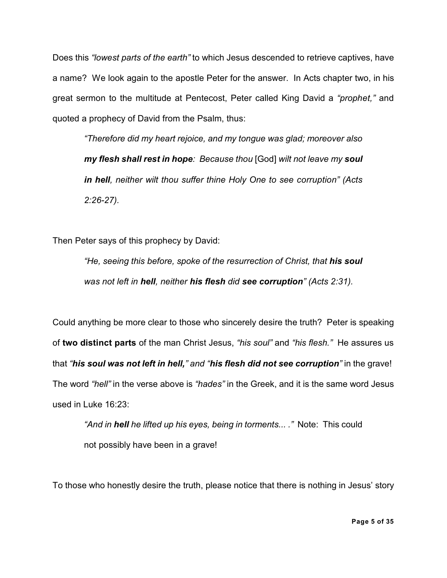Does this *"lowest parts of the earth"* to which Jesus descended to retrieve captives, have a name? We look again to the apostle Peter for the answer. In Acts chapter two, in his great sermon to the multitude at Pentecost, Peter called King David a *"prophet,"* and quoted a prophecy of David from the Psalm, thus:

*"Therefore did my heart rejoice, and my tongue was glad; moreover also my flesh shall rest in hope: Because thou* [God] *wilt not leave my soul in hell, neither wilt thou suffer thine Holy One to see corruption" (Acts 2:26-27).*

Then Peter says of this prophecy by David:

*"He, seeing this before, spoke of the resurrection of Christ, that his soul was not left in hell, neither his flesh did see corruption" (Acts 2:31).*

Could anything be more clear to those who sincerely desire the truth? Peter is speaking of **two distinct parts** of the man Christ Jesus, *"his soul"* and *"his flesh."* He assures us that *"his soul was not left in hell," and "his flesh did not see corruption"* in the grave! The word *"hell"* in the verse above is *"hades"* in the Greek, and it is the same word Jesus used in Luke 16:23:

*"And in hell he lifted up his eyes, being in torments... ."* Note: This could not possibly have been in a grave!

To those who honestly desire the truth, please notice that there is nothing in Jesus' story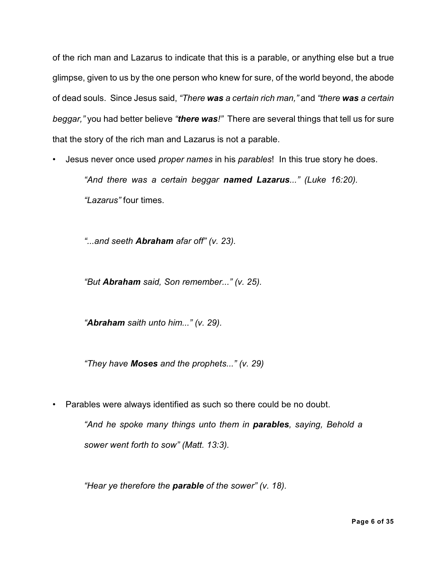of the rich man and Lazarus to indicate that this is a parable, or anything else but a true glimpse, given to us by the one person who knew for sure, of the world beyond, the abode of dead souls. Since Jesus said, *"There was a certain rich man,"* and *"there was a certain beggar,"* you had better believe *"there was!"* There are several things that tell us for sure that the story of the rich man and Lazarus is not a parable.

• Jesus never once used *proper names* in his *parables*! In this true story he does. *"And there was a certain beggar named Lazarus..." (Luke 16:20).*

*"Lazarus"* four times.

*"...and seeth Abraham afar off" (v. 23).*

*"But Abraham said, Son remember..." (v. 25).*

*"Abraham saith unto him..." (v. 29).*

*"They have Moses and the prophets..." (v. 29)*

• Parables were always identified as such so there could be no doubt.

*"And he spoke many things unto them in parables, saying, Behold a sower went forth to sow" (Matt. 13:3).*

*"Hear ye therefore the parable of the sower" (v. 18).*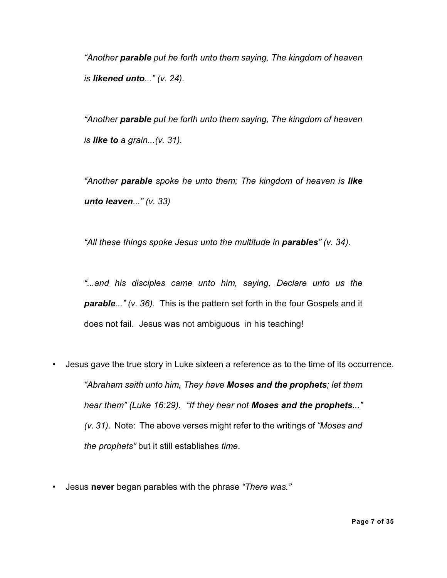*"Another parable put he forth unto them saying, The kingdom of heaven is likened unto..." (v. 24).*

*"Another parable put he forth unto them saying, The kingdom of heaven is like to a grain...(v. 31).*

*"Another parable spoke he unto them; The kingdom of heaven is like unto leaven..." (v. 33)*

*"All these things spoke Jesus unto the multitude in parables" (v. 34).*

*"...and his disciples came unto him, saying, Declare unto us the parable..." (v. 36).* This is the pattern set forth in the four Gospels and it does not fail. Jesus was not ambiguous in his teaching!

- Jesus gave the true story in Luke sixteen a reference as to the time of its occurrence. *"Abraham saith unto him, They have Moses and the prophets; let them hear them" (Luke 16:29). "If they hear not Moses and the prophets..." (v. 31).* Note: The above verses might refer to the writings of *"Moses and the prophets"* but it still establishes *time*.
- Jesus **never** began parables with the phrase *"There was."*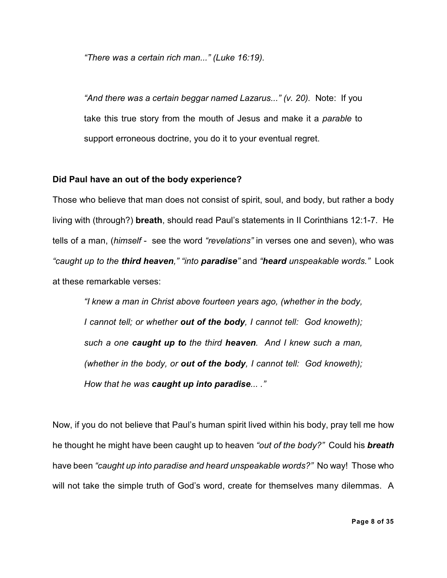*"There was a certain rich man..." (Luke 16:19).*

*"And there was a certain beggar named Lazarus..." (v. 20).* Note: If you take this true story from the mouth of Jesus and make it a *parable* to support erroneous doctrine, you do it to your eventual regret.

#### **Did Paul have an out of the body experience?**

Those who believe that man does not consist of spirit, soul, and body, but rather a body living with (through?) **breath**, should read Paul's statements in II Corinthians 12:1-7. He tells of a man, (*himself* - see the word *"revelations"* in verses one and seven), who was *"caught up to the third heaven," "into paradise"* and *"heard unspeakable words."* Look at these remarkable verses:

*"I knew a man in Christ above fourteen years ago, (whether in the body, I cannot tell; or whether out of the body, I cannot tell: God knoweth); such a one caught up to the third heaven. And I knew such a man, (whether in the body, or out of the body, I cannot tell: God knoweth); How that he was caught up into paradise... ."*

Now, if you do not believe that Paul's human spirit lived within his body, pray tell me how he thought he might have been caught up to heaven *"out of the body?"* Could his *breath* have been *"caught up into paradise and heard unspeakable words?"* No way! Those who will not take the simple truth of God's word, create for themselves many dilemmas. A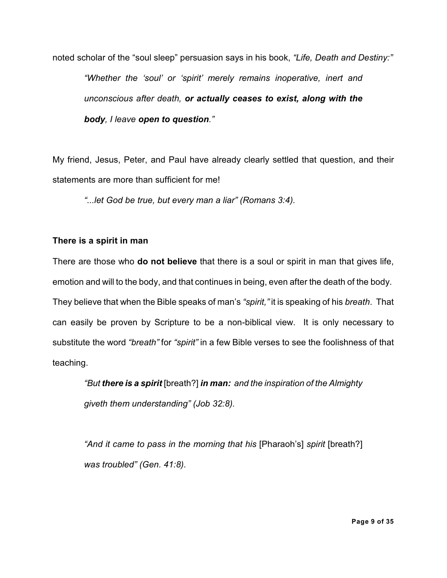noted scholar of the "soul sleep" persuasion says in his book, *"Life, Death and Destiny:" "Whether the 'soul' or 'spirit' merely remains inoperative, inert and unconscious after death, or actually ceases to exist, along with the body, I leave open to question."*

My friend, Jesus, Peter, and Paul have already clearly settled that question, and their statements are more than sufficient for me!

*"...let God be true, but every man a liar" (Romans 3:4).*

# **There is a spirit in man**

There are those who **do not believe** that there is a soul or spirit in man that gives life, emotion and will to the body, and that continues in being, even after the death of the body. They believe that when the Bible speaks of man's *"spirit,"* it is speaking of his *breath*. That can easily be proven by Scripture to be a non-biblical view. It is only necessary to substitute the word *"breath"* for *"spirit"* in a few Bible verses to see the foolishness of that teaching.

*"But there is a spirit* [breath?] *in man: and the inspiration of the Almighty giveth them understanding" (Job 32:8).*

*"And it came to pass in the morning that his* [Pharaoh's] *spirit* [breath?] *was troubled" (Gen. 41:8).*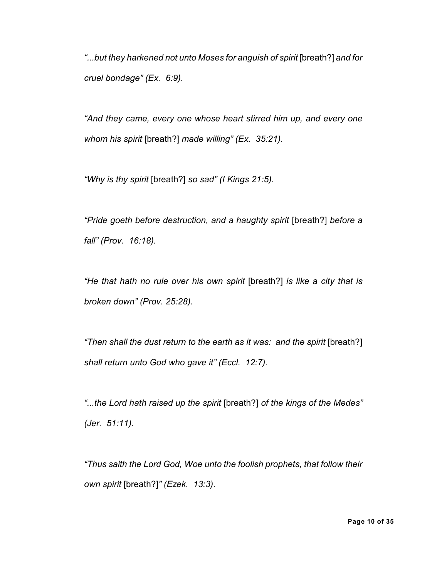*"...but they harkened not unto Moses for anguish of spirit* [breath?] *and for cruel bondage" (Ex. 6:9).*

*"And they came, every one whose heart stirred him up, and every one whom his spirit* [breath?] *made willing" (Ex. 35:21).*

*"Why is thy spirit* [breath?] *so sad" (I Kings 21:5).*

*"Pride goeth before destruction, and a haughty spirit* [breath?] *before a fall" (Prov. 16:18).*

*"He that hath no rule over his own spirit* [breath?] *is like a city that is broken down" (Prov. 25:28).*

*"Then shall the dust return to the earth as it was: and the spirit* [breath?] *shall return unto God who gave it" (Eccl. 12:7).*

*"...the Lord hath raised up the spirit* [breath?] *of the kings of the Medes" (Jer. 51:11).*

*"Thus saith the Lord God, Woe unto the foolish prophets, that follow their own spirit* [breath?]*" (Ezek. 13:3).*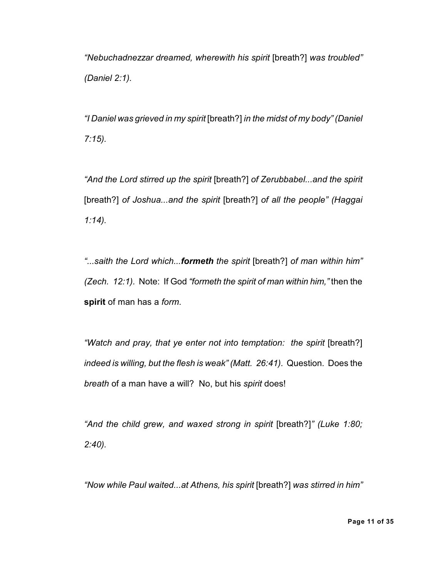*"Nebuchadnezzar dreamed, wherewith his spirit* [breath?] *was troubled" (Daniel 2:1).*

*"I Daniel was grieved in my spirit* [breath?] *in the midst of my body" (Daniel 7:15).*

*"And the Lord stirred up the spirit* [breath?] *of Zerubbabel...and the spirit* [breath?] *of Joshua...and the spirit* [breath?] *of all the people" (Haggai 1:14).*

*"...saith the Lord which...formeth the spirit* [breath?] *of man within him" (Zech. 12:1).* Note: If God *"formeth the spirit of man within him,"* then the **spirit** of man has a *form*.

*"Watch and pray, that ye enter not into temptation: the spirit* [breath?] *indeed is willing, but the flesh is weak" (Matt. 26:41).* Question. Does the *breath* of a man have a will? No, but his *spirit* does!

*"And the child grew, and waxed strong in spirit* [breath?]*" (Luke 1:80; 2:40).*

*"Now while Paul waited...at Athens, his spirit* [breath?] *was stirred in him"*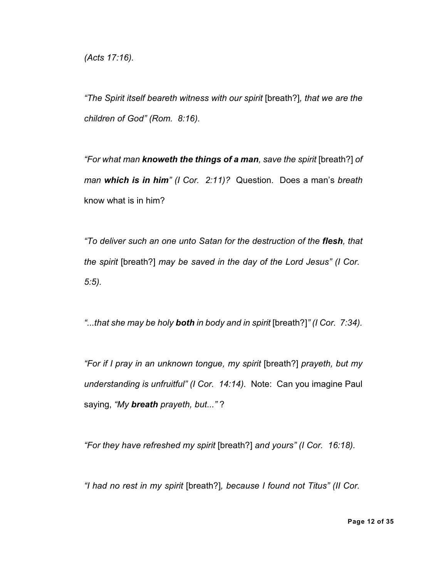*(Acts 17:16).*

*"The Spirit itself beareth witness with our spirit* [breath?]*, that we are the children of God" (Rom. 8:16).*

*"For what man knoweth the things of a man, save the spirit* [breath?] *of man which is in him" (I Cor. 2:11)?* Question. Does a man's *breath* know what is in him?

*"To deliver such an one unto Satan for the destruction of the flesh, that the spirit* [breath?] *may be saved in the day of the Lord Jesus" (I Cor. 5:5).*

*"...that she may be holy both in body and in spirit* [breath?]*" (I Cor. 7:34).*

*"For if I pray in an unknown tongue, my spirit* [breath?] *prayeth, but my understanding is unfruitful" (I Cor. 14:14).* Note: Can you imagine Paul saying, *"My breath prayeth, but..."* ?

*"For they have refreshed my spirit* [breath?] *and yours" (I Cor. 16:18).*

*"I had no rest in my spirit* [breath?]*, because I found not Titus" (II Cor.*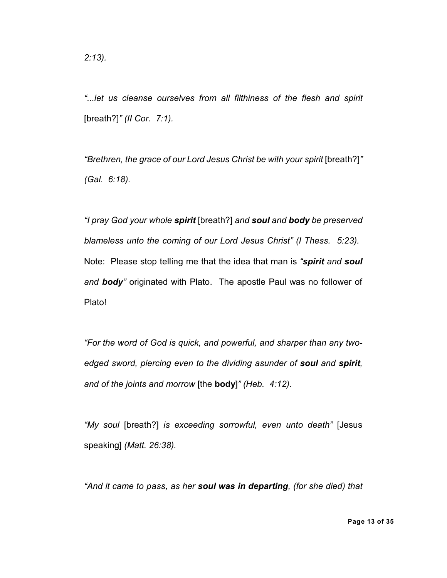*"...let us cleanse ourselves from all filthiness of the flesh and spirit* [breath?]*" (II Cor. 7:1).*

*"Brethren, the grace of our Lord Jesus Christ be with your spirit* [breath?]*" (Gal. 6:18).*

*"I pray God your whole spirit* [breath?] *and soul and body be preserved blameless unto the coming of our Lord Jesus Christ" (I Thess. 5:23).* Note: Please stop telling me that the idea that man is *"spirit and soul and body"* originated with Plato. The apostle Paul was no follower of Plato!

*"For the word of God is quick, and powerful, and sharper than any twoedged sword, piercing even to the dividing asunder of soul and spirit, and of the joints and morrow* [the **body**]*" (Heb. 4:12).*

*"My soul* [breath?] *is exceeding sorrowful, even unto death"* [Jesus speaking] *(Matt. 26:38).*

*"And it came to pass, as her soul was in departing, (for she died) that*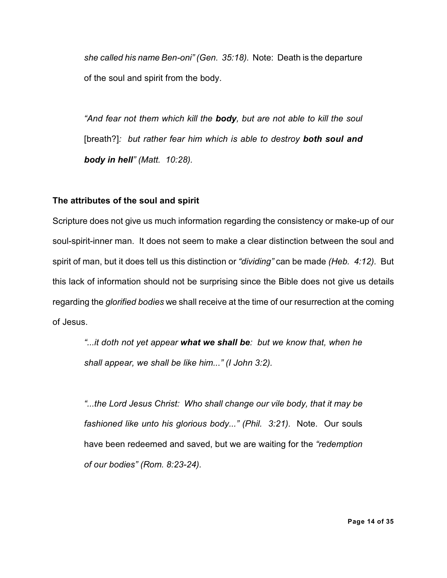*she called his name Ben-oni" (Gen. 35:18).* Note: Death is the departure of the soul and spirit from the body.

*"And fear not them which kill the body, but are not able to kill the soul* [breath?]*: but rather fear him which is able to destroy both soul and body in hell" (Matt. 10:28).*

# **The attributes of the soul and spirit**

Scripture does not give us much information regarding the consistency or make-up of our soul-spirit-inner man. It does not seem to make a clear distinction between the soul and spirit of man, but it does tell us this distinction or *"dividing"* can be made *(Heb. 4:12).* But this lack of information should not be surprising since the Bible does not give us details regarding the *glorified bodies* we shall receive at the time of our resurrection at the coming of Jesus.

*"...it doth not yet appear what we shall be: but we know that, when he shall appear, we shall be like him..." (I John 3:2).*

*"...the Lord Jesus Christ: Who shall change our vile body, that it may be fashioned like unto his glorious body..." (Phil. 3:21).* Note. Our souls have been redeemed and saved, but we are waiting for the *"redemption of our bodies" (Rom. 8:23-24).*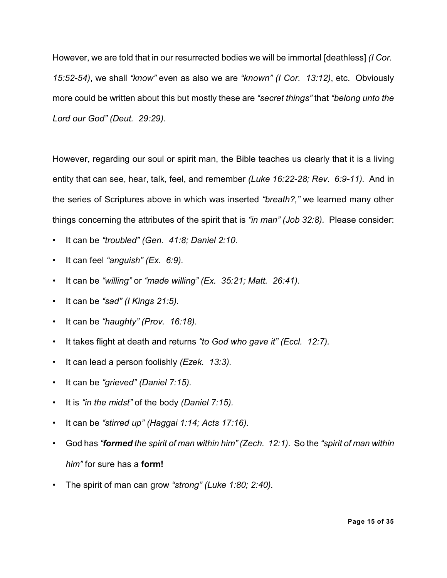However, we are told that in our resurrected bodies we will be immortal [deathless] *(I Cor. 15:52-54)*, we shall *"know"* even as also we are *"known" (I Cor. 13:12)*, etc. Obviously more could be written about this but mostly these are *"secret things"* that *"belong unto the Lord our God" (Deut. 29:29).*

However, regarding our soul or spirit man, the Bible teaches us clearly that it is a living entity that can see, hear, talk, feel, and remember *(Luke 16:22-28; Rev. 6:9-11).* And in the series of Scriptures above in which was inserted *"breath?,"* we learned many other things concerning the attributes of the spirit that is *"in man" (Job 32:8).* Please consider:

- It can be *"troubled" (Gen. 41:8; Daniel 2:10.*
- *•* It can feel *"anguish" (Ex. 6:9).*
- It can be *"willing"* or *"made willing" (Ex. 35:21; Matt. 26:41).*
- It can be *"sad" (I Kings 21:5).*
- It can be *"haughty" (Prov. 16:18).*
- It takes flight at death and returns *"to God who gave it" (Eccl. 12:7).*
- It can lead a person foolishly *(Ezek. 13:3).*
- It can be *"grieved" (Daniel 7:15).*
- It is *"in the midst"* of the body *(Daniel 7:15).*
- It can be *"stirred up" (Haggai 1:14; Acts 17:16).*
- God has *"formed the spirit of man within him" (Zech. 12:1)*. So the *"spirit of man within him"* for sure has a **form!**
- The spirit of man can grow *"strong" (Luke 1:80; 2:40).*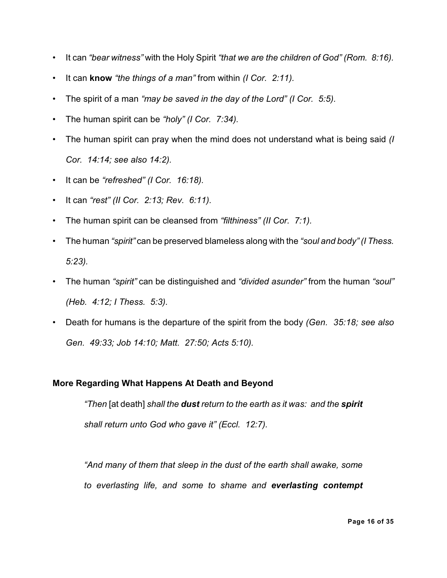- It can *"bear witness"* with the Holy Spirit *"that we are the children of God" (Rom. 8:16).*
- It can **know** *"the things of a man"* from within *(I Cor. 2:11).*
- The spirit of a man *"may be saved in the day of the Lord" (I Cor. 5:5).*
- The human spirit can be *"holy" (I Cor. 7:34).*
- The human spirit can pray when the mind does not understand what is being said *(I Cor. 14:14; see also 14:2).*
- It can be *"refreshed" (I Cor. 16:18).*
- It can *"rest" (II Cor. 2:13; Rev. 6:11).*
- The human spirit can be cleansed from *"filthiness" (II Cor. 7:1).*
- The human *"spirit"* can be preserved blameless along with the *"soul and body" (I Thess. 5:23).*
- The human *"spirit"* can be distinguished and *"divided asunder"* from the human *"soul" (Heb. 4:12; I Thess. 5:3).*
- Death for humans is the departure of the spirit from the body *(Gen. 35:18; see also Gen. 49:33; Job 14:10; Matt. 27:50; Acts 5:10).*

# **More Regarding What Happens At Death and Beyond**

*"Then* [at death] *shall the dust return to the earth as it was: and the spirit shall return unto God who gave it" (Eccl. 12:7).*

*"And many of them that sleep in the dust of the earth shall awake, some to everlasting life, and some to shame and everlasting contempt*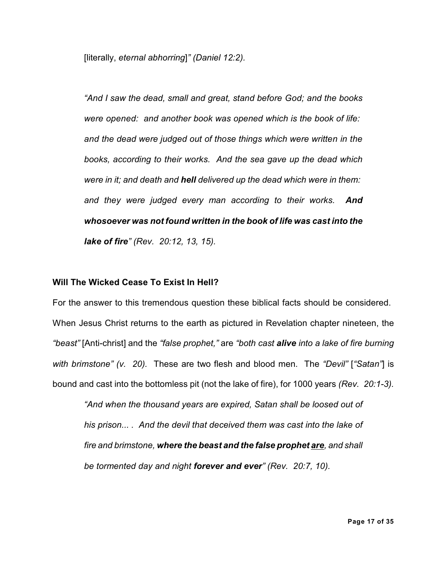[literally, *eternal abhorring*]*" (Daniel 12:2).*

*"And I saw the dead, small and great, stand before God; and the books were opened: and another book was opened which is the book of life: and the dead were judged out of those things which were written in the books, according to their works. And the sea gave up the dead which were in it; and death and hell delivered up the dead which were in them: and they were judged every man according to their works. And whosoever was not found written in the book of life was cast into the lake of fire" (Rev. 20:12, 13, 15).*

#### **Will The Wicked Cease To Exist In Hell?**

For the answer to this tremendous question these biblical facts should be considered. When Jesus Christ returns to the earth as pictured in Revelation chapter nineteen, the *"beast"* [Anti-christ] and the *"false prophet,"* are *"both cast alive into a lake of fire burning with brimstone" (v. 20).* These are two flesh and blood men. The *"Devil"* [*"Satan"*] is bound and cast into the bottomless pit (not the lake of fire), for 1000 years *(Rev. 20:1-3).*

*"And when the thousand years are expired, Satan shall be loosed out of his prison... . And the devil that deceived them was cast into the lake of fire and brimstone, where the beast and the false prophet are, and shall be tormented day and night forever and ever" (Rev. 20:7, 10).*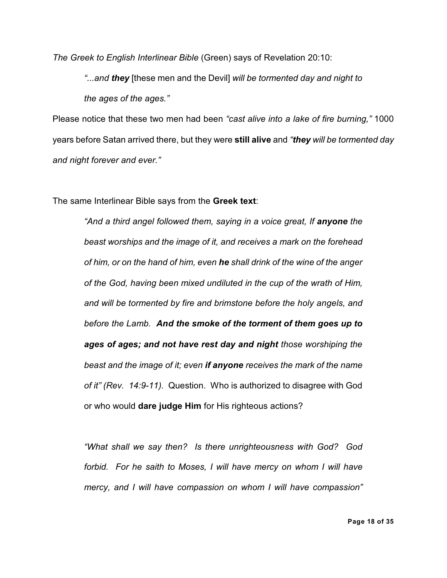*The Greek to English Interlinear Bible* (Green) says of Revelation 20:10:

*"...and they* [these men and the Devil] *will be tormented day and night to the ages of the ages."*

Please notice that these two men had been *"cast alive into a lake of fire burning,"* 1000 years before Satan arrived there, but they were **still alive** and *"they will be tormented day and night forever and ever."*

The same Interlinear Bible says from the **Greek text**:

*"And a third angel followed them, saying in a voice great, If anyone the beast worships and the image of it, and receives a mark on the forehead of him, or on the hand of him, even he shall drink of the wine of the anger of the God, having been mixed undiluted in the cup of the wrath of Him, and will be tormented by fire and brimstone before the holy angels, and before the Lamb. And the smoke of the torment of them goes up to ages of ages; and not have rest day and night those worshiping the beast and the image of it; even if anyone receives the mark of the name of it" (Rev. 14:9-11).* Question. Who is authorized to disagree with God or who would **dare judge Him** for His righteous actions?

*"What shall we say then? Is there unrighteousness with God? God forbid. For he saith to Moses, I will have mercy on whom I will have mercy, and I will have compassion on whom I will have compassion"*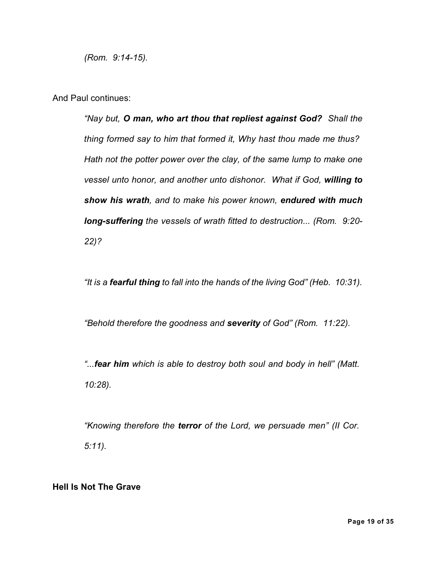*(Rom. 9:14-15).*

And Paul continues:

*"Nay but, O man, who art thou that repliest against God? Shall the thing formed say to him that formed it, Why hast thou made me thus? Hath not the potter power over the clay, of the same lump to make one vessel unto honor, and another unto dishonor. What if God, willing to show his wrath, and to make his power known, endured with much long-suffering the vessels of wrath fitted to destruction... (Rom. 9:20- 22)?*

*"It is a fearful thing to fall into the hands of the living God" (Heb. 10:31).*

*"Behold therefore the goodness and severity of God" (Rom. 11:22).*

*"...fear him which is able to destroy both soul and body in hell" (Matt. 10:28).*

*"Knowing therefore the terror of the Lord, we persuade men" (II Cor. 5:11).*

#### **Hell Is Not The Grave**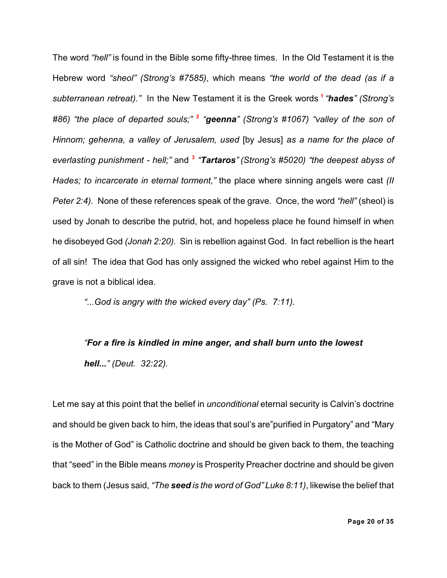The word *"hell"* is found in the Bible some fifty-three times. In the Old Testament it is the Hebrew word *"sheol" (Strong's #7585)*, which means *"the world of the dead (as if a subterranean retreat)."* In the New Testament it is the Greek words **<sup>1</sup>** *"hades" (Strong's #86) "the place of departed souls;"* **<sup>2</sup>** *"geenna" (Strong's #1067) "valley of the son of Hinnom; gehenna, a valley of Jerusalem, used* [by Jesus] *as a name for the place of everlasting punishment - hell;"* and **<sup>3</sup>** *"Tartaros" (Strong's #5020) "the deepest abyss of Hades; to incarcerate in eternal torment,"* the place where sinning angels were cast *(II Peter 2:4).* None of these references speak of the grave. Once, the word *"hell"* (sheol) is used by Jonah to describe the putrid, hot, and hopeless place he found himself in when he disobeyed God *(Jonah 2:20).* Sin is rebellion against God. In fact rebellion is the heart of all sin! The idea that God has only assigned the wicked who rebel against Him to the grave is not a biblical idea.

*"...God is angry with the wicked every day" (Ps. 7:11).*

# *"For a fire is kindled in mine anger, and shall burn unto the lowest hell..." (Deut. 32:22).*

Let me say at this point that the belief in *unconditional* eternal security is Calvin's doctrine and should be given back to him, the ideas that soul's are"purified in Purgatory" and "Mary is the Mother of God" is Catholic doctrine and should be given back to them, the teaching that "seed" in the Bible means *money* is Prosperity Preacher doctrine and should be given back to them (Jesus said, *"The seed is the word of God" Luke 8:11)*, likewise the belief that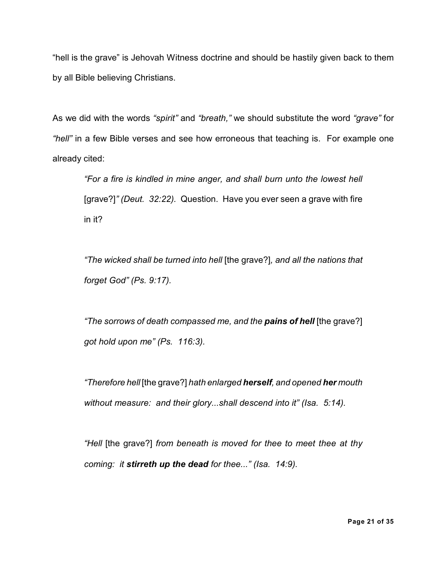"hell is the grave" is Jehovah Witness doctrine and should be hastily given back to them by all Bible believing Christians.

As we did with the words *"spirit"* and *"breath,"* we should substitute the word *"grave"* for *"hell"* in a few Bible verses and see how erroneous that teaching is. For example one already cited:

*"For a fire is kindled in mine anger, and shall burn unto the lowest hell* [grave?]*" (Deut. 32:22).* Question. Have you ever seen a grave with fire in it?

*"The wicked shall be turned into hell* [the grave?]*, and all the nations that forget God" (Ps. 9:17).*

*"The sorrows of death compassed me, and the pains of hell* [the grave?] *got hold upon me" (Ps. 116:3).*

*"Therefore hell* [the grave?] *hath enlarged herself, and opened her mouth without measure: and their glory...shall descend into it" (Isa. 5:14).*

*"Hell* [the grave?] *from beneath is moved for thee to meet thee at thy coming: it stirreth up the dead for thee..." (Isa. 14:9).*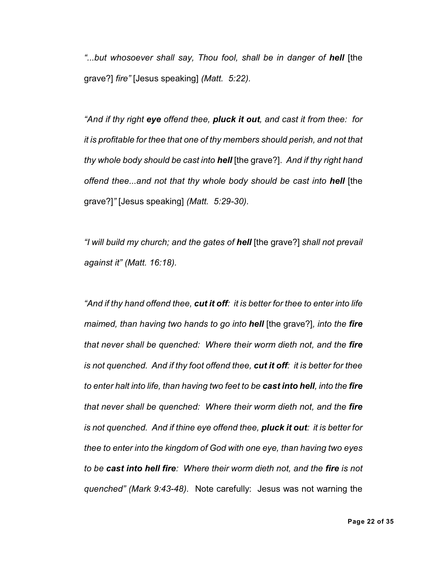*"...but whosoever shall say, Thou fool, shall be in danger of hell* [the grave?] *fire"* [Jesus speaking] *(Matt. 5:22).*

*"And if thy right eye offend thee, pluck it out, and cast it from thee: for it is profitable for thee that one of thy members should perish, and not that thy whole body should be cast into hell* [the grave?]. *And if thy right hand offend thee...and not that thy whole body should be cast into hell* [the grave?]*"* [Jesus speaking] *(Matt. 5:29-30).*

*"I will build my church; and the gates of hell* [the grave?] *shall not prevail against it" (Matt. 16:18).*

*"And if thy hand offend thee, cut it off: it is better for thee to enter into life maimed, than having two hands to go into hell* [the grave?]*, into the fire that never shall be quenched: Where their worm dieth not, and the fire is not quenched. And if thy foot offend thee, cut it off: it is better for thee to enter halt into life, than having two feet to be cast into hell, into the fire that never shall be quenched: Where their worm dieth not, and the fire is not quenched. And if thine eye offend thee, pluck it out: it is better for thee to enter into the kingdom of God with one eye, than having two eyes to be cast into hell fire: Where their worm dieth not, and the fire is not quenched" (Mark 9:43-48).* Note carefully: Jesus was not warning the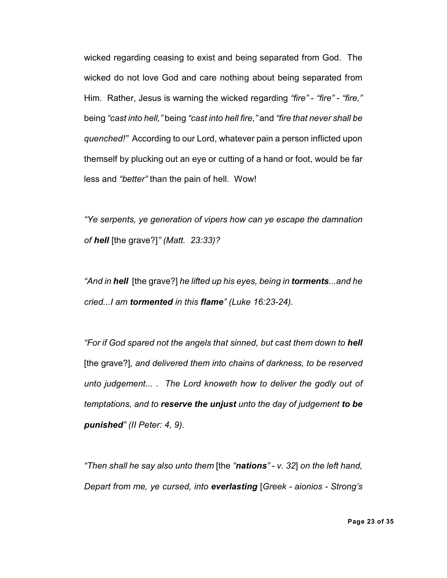wicked regarding ceasing to exist and being separated from God. The wicked do not love God and care nothing about being separated from Him. Rather, Jesus is warning the wicked regarding *"fire"* - *"fire"* - *"fire,"* being *"cast into hell,"* being *"cast into hell fire,"* and *"fire that never shall be quenched!"* According to our Lord, whatever pain a person inflicted upon themself by plucking out an eye or cutting of a hand or foot, would be far less and *"better"* than the pain of hell. Wow!

*"Ye serpents, ye generation of vipers how can ye escape the damnation of hell* [the grave?]*" (Matt. 23:33)?*

*"And in hell* [the grave?] *he lifted up his eyes, being in torments...and he cried...I am tormented in this flame" (Luke 16:23-24).*

*"For if God spared not the angels that sinned, but cast them down to hell* [the grave?]*, and delivered them into chains of darkness, to be reserved unto judgement... . The Lord knoweth how to deliver the godly out of temptations, and to reserve the unjust unto the day of judgement to be punished" (II Peter: 4, 9).*

*"Then shall he say also unto them* [the *"nations" - v. 32*] *on the left hand, Depart from me, ye cursed, into everlasting* [*Greek - aionios - Strong's*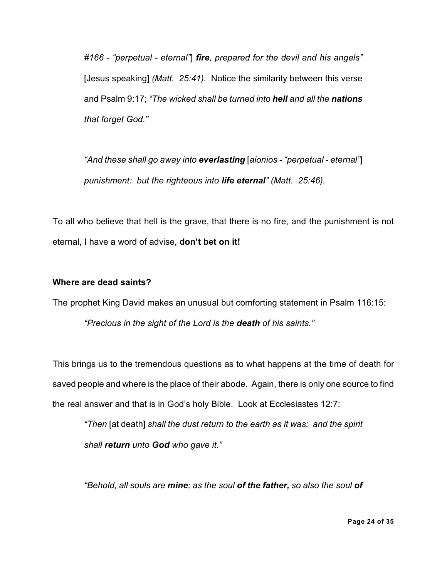*#166 - "perpetual - eternal"*] *fire, prepared for the devil and his angels"* [Jesus speaking] *(Matt. 25:41).* Notice the similarity between this verse and Psalm 9:17; *"The wicked shall be turned into hell and all the nations that forget God."*

*"And these shall go away into everlasting* [*aionios - "perpetual - eternal"*] *punishment: but the righteous into life eternal" (Matt. 25:46).*

To all who believe that hell is the grave, that there is no fire, and the punishment is not eternal, I have a word of advise, **don't bet on it!**

#### **Where are dead saints?**

The prophet King David makes an unusual but comforting statement in Psalm 116:15: *"Precious in the sight of the Lord is the death of his saints."*

This brings us to the tremendous questions as to what happens at the time of death for saved people and where is the place of their abode. Again, there is only one source to find the real answer and that is in God's holy Bible. Look at Ecclesiastes 12:7:

*"Then* [at death] *shall the dust return to the earth as it was: and the spirit shall return unto God who gave it."*

*"Behold, all souls are mine; as the soul of the father, so also the soul of*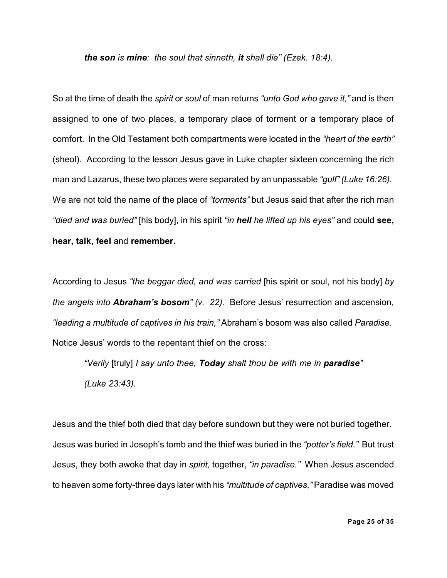*the son is mine: the soul that sinneth, it shall die" (Ezek. 18:4).*

So at the time of death the *spirit* or *soul* of man returns *"unto God who gave it,"* and is then assigned to one of two places, a temporary place of torment or a temporary place of comfort. In the Old Testament both compartments were located in the *"heart of the earth"* (sheol). According to the lesson Jesus gave in Luke chapter sixteen concerning the rich man and Lazarus, these two places were separated by an unpassable *"gulf" (Luke 16:26).* We are not told the name of the place of *"torments"* but Jesus said that after the rich man *"died and was buried"* [his body], in his spirit *"in hell he lifted up his eyes"* and could **see, hear, talk, feel** and **remember.**

According to Jesus *"the beggar died, and was carried* [his spirit or soul, not his body] *by the angels into Abraham's bosom" (v. 22).* Before Jesus' resurrection and ascension, *"leading a multitude of captives in his train,"* Abraham's bosom was also called *Paradise*. Notice Jesus' words to the repentant thief on the cross:

*"Verily* [truly] *I say unto thee, Today shalt thou be with me in paradise" (Luke 23:43).*

Jesus and the thief both died that day before sundown but they were not buried together. Jesus was buried in Joseph's tomb and the thief was buried in the *"potter's field."* But trust Jesus, they both awoke that day in *spirit,* together, *"in paradise."* When Jesus ascended to heaven some forty-three days later with his *"multitude of captives,"* Paradise was moved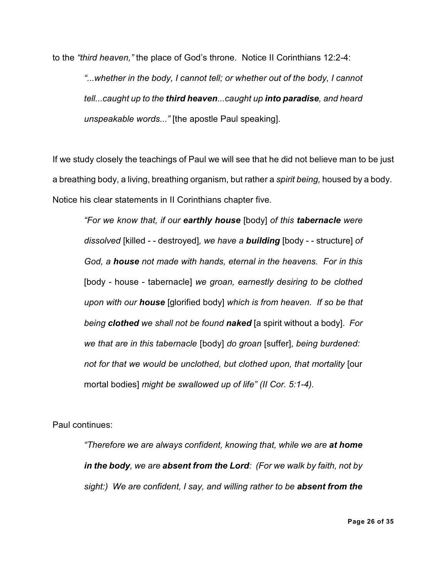to the *"third heaven,"* the place of God's throne. Notice II Corinthians 12:2-4: *"...whether in the body, I cannot tell; or whether out of the body, I cannot tell...caught up to the third heaven...caught up into paradise, and heard unspeakable words..."* [the apostle Paul speaking].

If we study closely the teachings of Paul we will see that he did not believe man to be just a breathing body, a living, breathing organism, but rather a *spirit being,* housed by a body. Notice his clear statements in II Corinthians chapter five.

*"For we know that, if our earthly house* [body] *of this tabernacle were dissolved* [killed - - destroyed]*, we have a building* [body - - structure] *of God, a house not made with hands, eternal in the heavens. For in this* [body - house - tabernacle] *we groan, earnestly desiring to be clothed upon with our house* [glorified body] *which is from heaven. If so be that being clothed we shall not be found naked* [a spirit without a body]. *For we that are in this tabernacle* [body] *do groan* [suffer], *being burdened: not for that we would be unclothed, but clothed upon, that mortality* [our mortal bodies] *might be swallowed up of life" (II Cor. 5:1-4).*

Paul continues:

*"Therefore we are always confident, knowing that, while we are at home in the body, we are absent from the Lord: (For we walk by faith, not by sight:) We are confident, I say, and willing rather to be absent from the*

**Page 26 of 35**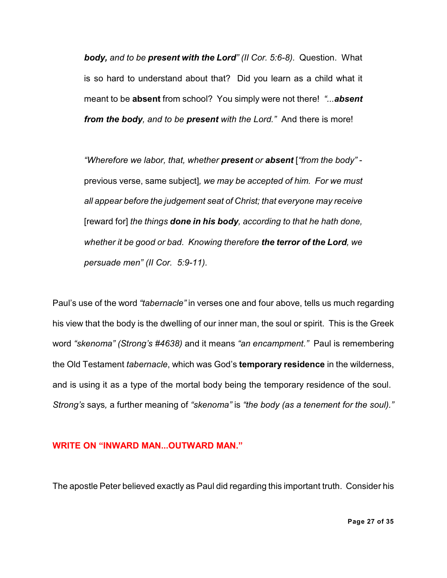*body, and to be present with the Lord" (II Cor. 5:6-8).* Question. What is so hard to understand about that? Did you learn as a child what it meant to be **absent** from school? You simply were not there! *"...absent from the body, and to be present with the Lord."* And there is more!

*"Wherefore we labor, that, whether present or absent* [*"from the body"* previous verse, same subject]*, we may be accepted of him. For we must all appear before the judgement seat of Christ; that everyone may receive* [reward for] *the things done in his body, according to that he hath done, whether it be good or bad. Knowing therefore the terror of the Lord, we persuade men" (II Cor. 5:9-11).*

Paul's use of the word *"tabernacle"* in verses one and four above, tells us much regarding his view that the body is the dwelling of our inner man, the soul or spirit. This is the Greek word *"skenoma" (Strong's #4638)* and it means *"an encampment."* Paul is remembering the Old Testament *tabernacle*, which was God's **temporary residence** in the wilderness, and is using it as a type of the mortal body being the temporary residence of the soul. *Strong's* says*,* a further meaning of *"skenoma"* is *"the body (as a tenement for the soul)."*

#### **WRITE ON "INWARD MAN...OUTWARD MAN."**

The apostle Peter believed exactly as Paul did regarding this important truth. Consider his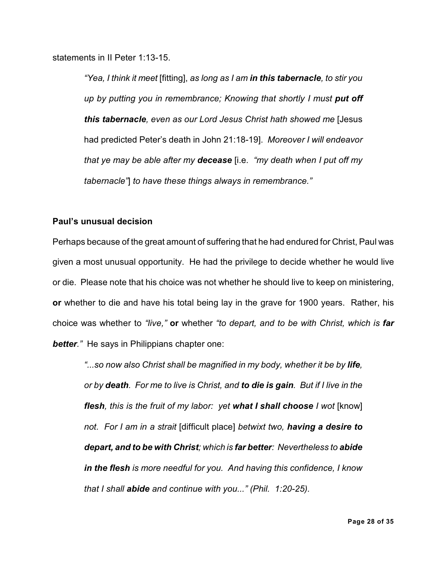statements in II Peter 1:13-15.

*"Yea, I think it meet* [fitting], *as long as I am in this tabernacle, to stir you up by putting you in remembrance; Knowing that shortly I must put off this tabernacle, even as our Lord Jesus Christ hath showed me* [Jesus had predicted Peter's death in John 21:18-19]. *Moreover I will endeavor that ye may be able after my decease* [i.e. *"my death when I put off my tabernacle"*] *to have these things always in remembrance."*

#### **Paul's unusual decision**

Perhaps because of the great amount of suffering that he had endured for Christ, Paul was given a most unusual opportunity. He had the privilege to decide whether he would live or die. Please note that his choice was not whether he should live to keep on ministering, **or** whether to die and have his total being lay in the grave for 1900 years. Rather, his choice was whether to *"live,"* **or** whether *"to depart, and to be with Christ, which is far better."* He says in Philippians chapter one:

"...so now also Christ shall be magnified in my body, whether it be by **life**, *or by death. For me to live is Christ, and to die is gain. But if I live in the flesh, this is the fruit of my labor: yet what I shall choose I wot* [know] *not. For I am in a strait* [difficult place] *betwixt two, having a desire to depart, and to be with Christ; which is far better: Nevertheless to abide in the flesh is more needful for you. And having this confidence, I know that I shall abide and continue with you..." (Phil. 1:20-25).*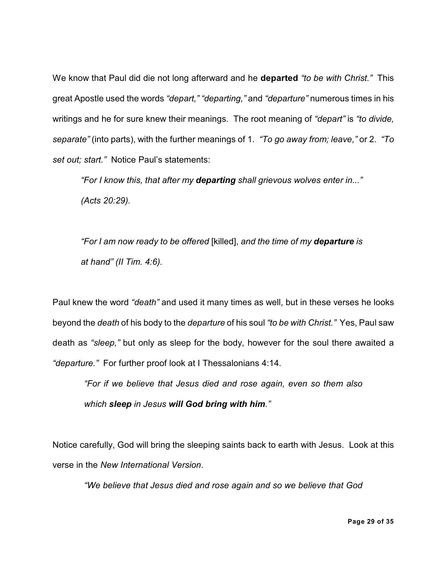We know that Paul did die not long afterward and he **departed** *"to be with Christ."* This great Apostle used the words *"depart," "departing,"* and *"departure"* numerous times in his writings and he for sure knew their meanings. The root meaning of *"depart"* is *"to divide, separate"* (into parts), with the further meanings of 1. *"To go away from; leave,"* or 2. *"To set out; start."* Notice Paul's statements:

*"For I know this, that after my departing shall grievous wolves enter in..." (Acts 20:29).*

*"For I am now ready to be offered* [killed], *and the time of my departure is at hand" (II Tim. 4:6).*

Paul knew the word *"death"* and used it many times as well, but in these verses he looks beyond the *death* of his body to the *departure* of his soul *"to be with Christ."* Yes, Paul saw death as *"sleep,"* but only as sleep for the body, however for the soul there awaited a *"departure."* For further proof look at I Thessalonians 4:14.

*"For if we believe that Jesus died and rose again, even so them also which sleep in Jesus will God bring with him."*

Notice carefully, God will bring the sleeping saints back to earth with Jesus. Look at this verse in the *New International Version*.

*"We believe that Jesus died and rose again and so we believe that God*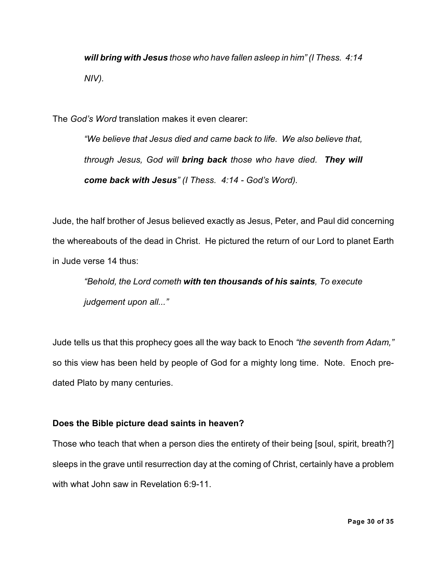*will bring with Jesus those who have fallen asleep in him" (I Thess. 4:14 NIV).*

The *God's Word* translation makes it even clearer:

*"We believe that Jesus died and came back to life. We also believe that, through Jesus, God will bring back those who have died. They will come back with Jesus" (I Thess. 4:14 - God's Word).*

Jude, the half brother of Jesus believed exactly as Jesus, Peter, and Paul did concerning the whereabouts of the dead in Christ. He pictured the return of our Lord to planet Earth in Jude verse 14 thus:

*"Behold, the Lord cometh with ten thousands of his saints, To execute judgement upon all..."*

Jude tells us that this prophecy goes all the way back to Enoch *"the seventh from Adam,"* so this view has been held by people of God for a mighty long time. Note. Enoch predated Plato by many centuries.

# **Does the Bible picture dead saints in heaven?**

Those who teach that when a person dies the entirety of their being [soul, spirit, breath?] sleeps in the grave until resurrection day at the coming of Christ, certainly have a problem with what John saw in Revelation 6:9-11.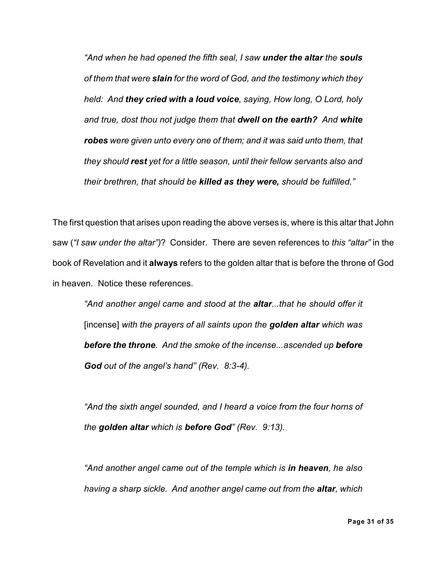*"And when he had opened the fifth seal, I saw under the altar the souls of them that were slain for the word of God, and the testimony which they held: And they cried with a loud voice, saying, How long, O Lord, holy and true, dost thou not judge them that dwell on the earth? And white robes were given unto every one of them; and it was said unto them, that they should rest yet for a little season, until their fellow servants also and their brethren, that should be killed as they were, should be fulfilled."*

The first question that arises upon reading the above verses is, where is this altar that John saw (*"I saw under the altar")*? Consider. There are seven references to *this "altar"* in the book of Revelation and it **always** refers to the golden altar that is before the throne of God in heaven. Notice these references.

*"And another angel came and stood at the altar...that he should offer it* [incense] *with the prayers of all saints upon the golden altar which was before the throne. And the smoke of the incense...ascended up before God out of the angel's hand" (Rev. 8:3-4).*

*"And the sixth angel sounded, and I heard a voice from the four horns of the golden altar which is before God" (Rev. 9:13).*

*"And another angel came out of the temple which is in heaven, he also having a sharp sickle. And another angel came out from the altar, which*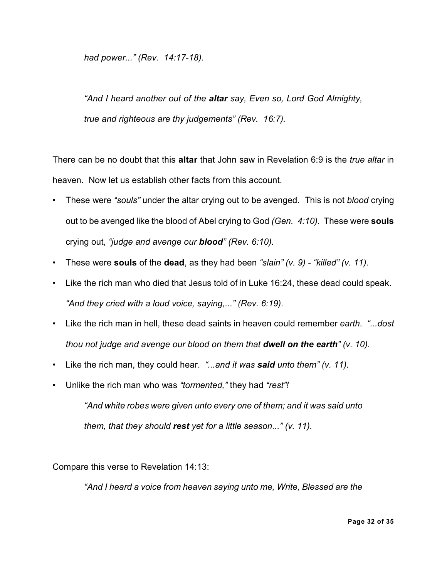*had power..." (Rev. 14:17-18).*

*"And I heard another out of the altar say, Even so, Lord God Almighty, true and righteous are thy judgements" (Rev. 16:7).*

There can be no doubt that this **altar** that John saw in Revelation 6:9 is the *true altar* in heaven. Now let us establish other facts from this account.

- These were *"souls"* under the altar crying out to be avenged. This is not *blood* crying out to be avenged like the blood of Abel crying to God *(Gen. 4:10).* These were **souls** crying out, *"judge and avenge our blood" (Rev. 6:10).*
- These were **souls** of the **dead**, as they had been *"slain" (v. 9) "killed" (v. 11).*
- *•* Like the rich man who died that Jesus told of in Luke 16:24, these dead could speak. *"And they cried with a loud voice, saying,..." (Rev. 6:19).*
- Like the rich man in hell, these dead saints in heaven could remember *earth. "...dost thou not judge and avenge our blood on them that dwell on the earth" (v. 10).*
- Like the rich man, they could hear. *"...and it was said unto them" (v. 11).*
- Unlike the rich man who was *"tormented,"* they had *"rest"!*

*"And white robes were given unto every one of them; and it was said unto them, that they should rest yet for a little season..." (v. 11).*

Compare this verse to Revelation 14:13:

*"And I heard a voice from heaven saying unto me, Write, Blessed are the*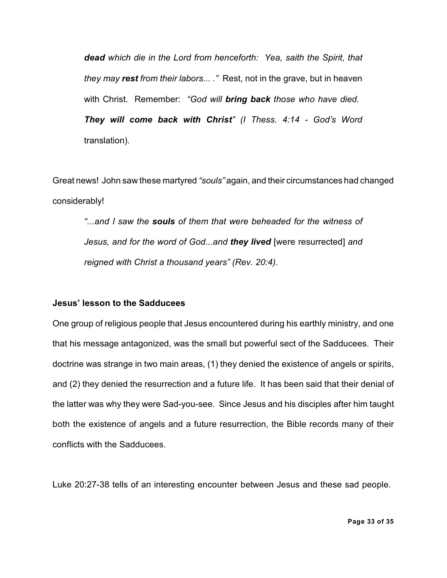*dead which die in the Lord from henceforth: Yea, saith the Spirit, that they may rest from their labors... ."* Rest, not in the grave, but in heaven with Christ. Remember: *"God will bring back those who have died. They will come back with Christ" (I Thess. 4:14 - God's Word* translation).

Great news! John saw these martyred *"souls"* again, and their circumstances had changed considerably!

*"...and I saw the souls of them that were beheaded for the witness of Jesus, and for the word of God...and they lived* [were resurrected] *and reigned with Christ a thousand years" (Rev. 20:4).*

#### **Jesus' lesson to the Sadducees**

One group of religious people that Jesus encountered during his earthly ministry, and one that his message antagonized, was the small but powerful sect of the Sadducees. Their doctrine was strange in two main areas, (1) they denied the existence of angels or spirits, and (2) they denied the resurrection and a future life. It has been said that their denial of the latter was why they were Sad-you-see. Since Jesus and his disciples after him taught both the existence of angels and a future resurrection, the Bible records many of their conflicts with the Sadducees.

Luke 20:27-38 tells of an interesting encounter between Jesus and these sad people.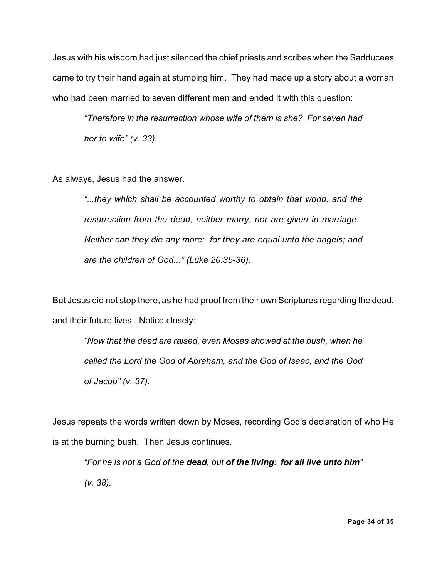Jesus with his wisdom had just silenced the chief priests and scribes when the Sadducees came to try their hand again at stumping him. They had made up a story about a woman who had been married to seven different men and ended it with this question:

*"Therefore in the resurrection whose wife of them is she? For seven had her to wife" (v. 33).*

As always, Jesus had the answer.

*"...they which shall be accounted worthy to obtain that world, and the resurrection from the dead, neither marry, nor are given in marriage: Neither can they die any more: for they are equal unto the angels; and are the children of God..." (Luke 20:35-36).*

But Jesus did not stop there, as he had proof from their own Scriptures regarding the dead, and their future lives. Notice closely:

*"Now that the dead are raised, even Moses showed at the bush, when he called the Lord the God of Abraham, and the God of Isaac, and the God of Jacob" (v. 37).*

Jesus repeats the words written down by Moses, recording God's declaration of who He is at the burning bush. Then Jesus continues.

*"For he is not a God of the dead, but of the living: for all live unto him" (v. 38).*